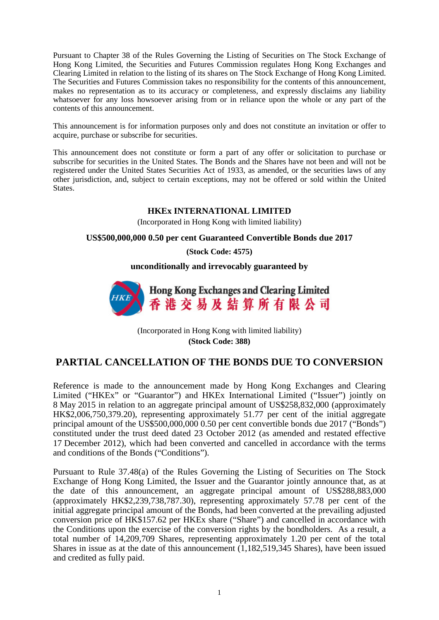Pursuant to Chapter 38 of the Rules Governing the Listing of Securities on The Stock Exchange of Hong Kong Limited, the Securities and Futures Commission regulates Hong Kong Exchanges and Clearing Limited in relation to the listing of its shares on The Stock Exchange of Hong Kong Limited. The Securities and Futures Commission takes no responsibility for the contents of this announcement, makes no representation as to its accuracy or completeness, and expressly disclaims any liability whatsoever for any loss howsoever arising from or in reliance upon the whole or any part of the contents of this announcement.

This announcement is for information purposes only and does not constitute an invitation or offer to acquire, purchase or subscribe for securities.

This announcement does not constitute or form a part of any offer or solicitation to purchase or subscribe for securities in the United States. The Bonds and the Shares have not been and will not be registered under the United States Securities Act of 1933, as amended, or the securities laws of any other jurisdiction, and, subject to certain exceptions, may not be offered or sold within the United States.

## **HKEx INTERNATIONAL LIMITED**

(Incorporated in Hong Kong with limited liability)

## **US\$500,000,000 0.50 per cent Guaranteed Convertible Bonds due 2017**

**(Stock Code: 4575)**

**unconditionally and irrevocably guaranteed by**



(Incorporated in Hong Kong with limited liability) **(Stock Code: 388)**

## **PARTIAL CANCELLATION OF THE BONDS DUE TO CONVERSION**

Reference is made to the announcement made by Hong Kong Exchanges and Clearing Limited ("HKEx" or "Guarantor") and HKEx International Limited ("Issuer") jointly on 8 May 2015 in relation to an aggregate principal amount of US\$258,832,000 (approximately HK\$2,006,750,379.20), representing approximately 51.77 per cent of the initial aggregate principal amount of the US\$500,000,000 0.50 per cent convertible bonds due 2017 ("Bonds") constituted under the trust deed dated 23 October 2012 (as amended and restated effective 17 December 2012), which had been converted and cancelled in accordance with the terms and conditions of the Bonds ("Conditions").

Pursuant to Rule 37.48(a) of the Rules Governing the Listing of Securities on The Stock Exchange of Hong Kong Limited, the Issuer and the Guarantor jointly announce that, as at the date of this announcement, an aggregate principal amount of US\$288,883,000 (approximately HK\$2,239,738,787.30), representing approximately 57.78 per cent of the initial aggregate principal amount of the Bonds, had been converted at the prevailing adjusted conversion price of HK\$157.62 per HKEx share ("Share") and cancelled in accordance with the Conditions upon the exercise of the conversion rights by the bondholders. As a result, a total number of 14,209,709 Shares, representing approximately 1.20 per cent of the total Shares in issue as at the date of this announcement (1,182,519,345 Shares), have been issued and credited as fully paid.